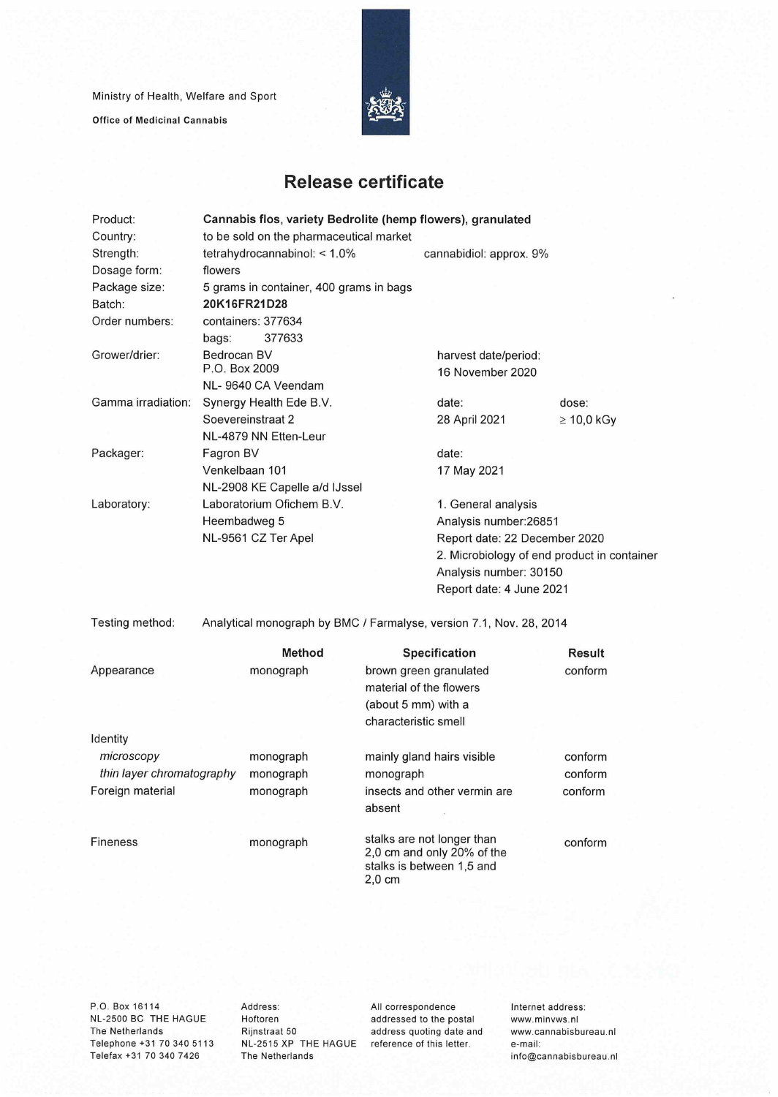Ministry of Health, Welfare and Sport

Office of Medicinal Cannabis



## **Release certificate**

| Product:                               | Cannabis flos, variety Bedrolite (hemp flowers), granulated |                    |                        |                            |                                                                     |                                             |  |  |
|----------------------------------------|-------------------------------------------------------------|--------------------|------------------------|----------------------------|---------------------------------------------------------------------|---------------------------------------------|--|--|
| Country:                               | to be sold on the pharmaceutical market                     |                    |                        |                            |                                                                     |                                             |  |  |
| Strength:                              | tetrahydrocannabinol: < 1.0%                                |                    |                        |                            | cannabidiol: approx. 9%                                             |                                             |  |  |
| Dosage form:                           | flowers                                                     |                    |                        |                            |                                                                     |                                             |  |  |
| Package size:                          | 5 grams in container, 400 grams in bags                     |                    |                        |                            |                                                                     |                                             |  |  |
| Batch:                                 | 20K16FR21D28                                                |                    |                        |                            |                                                                     |                                             |  |  |
| Order numbers:                         |                                                             | containers: 377634 |                        |                            |                                                                     |                                             |  |  |
|                                        | bags:                                                       | 377633             |                        |                            |                                                                     |                                             |  |  |
| Grower/drier:                          | Bedrocan BV                                                 |                    |                        |                            | harvest date/period:                                                |                                             |  |  |
|                                        | P.O. Box 2009                                               |                    |                        |                            | 16 November 2020                                                    |                                             |  |  |
|                                        |                                                             | NL-9640 CA Veendam |                        |                            |                                                                     |                                             |  |  |
| Gamma irradiation:                     | Synergy Health Ede B.V.                                     |                    |                        |                            | date:                                                               | dose:                                       |  |  |
|                                        | Soevereinstraat 2                                           |                    |                        |                            | 28 April 2021                                                       | $\geq 10,0$ kGy                             |  |  |
|                                        | NL-4879 NN Etten-Leur                                       |                    |                        |                            |                                                                     |                                             |  |  |
| Packager:                              | Fagron BV                                                   |                    |                        |                            | date:                                                               |                                             |  |  |
|                                        | Venkelbaan 101                                              |                    |                        |                            | 17 May 2021                                                         |                                             |  |  |
|                                        | NL-2908 KE Capelle a/d IJssel                               |                    |                        |                            |                                                                     |                                             |  |  |
| Laboratory:                            | Laboratorium Ofichem B.V.                                   |                    |                        |                            |                                                                     | 1. General analysis                         |  |  |
|                                        | Heembadweg 5<br>NL-9561 CZ Ter Apel                         |                    |                        |                            | Analysis number: 26851<br>Report date: 22 December 2020             |                                             |  |  |
|                                        |                                                             |                    |                        |                            |                                                                     |                                             |  |  |
|                                        |                                                             |                    |                        |                            |                                                                     | 2. Microbiology of end product in container |  |  |
|                                        |                                                             |                    |                        |                            | Analysis number: 30150                                              |                                             |  |  |
|                                        |                                                             |                    |                        |                            | Report date: 4 June 2021                                            |                                             |  |  |
| Testing method:                        |                                                             |                    |                        |                            | Analytical monograph by BMC / Farmalyse, version 7.1, Nov. 28, 2014 |                                             |  |  |
|                                        |                                                             |                    |                        |                            |                                                                     |                                             |  |  |
|                                        |                                                             | <b>Method</b>      |                        |                            | Specification                                                       | Result                                      |  |  |
| Appearance                             | monograph                                                   |                    | brown green granulated |                            | conform                                                             |                                             |  |  |
|                                        |                                                             |                    |                        |                            | material of the flowers                                             |                                             |  |  |
|                                        |                                                             |                    |                        | (about 5 mm) with a        |                                                                     |                                             |  |  |
|                                        |                                                             |                    |                        | characteristic smell       |                                                                     |                                             |  |  |
| Identity                               |                                                             |                    |                        |                            |                                                                     |                                             |  |  |
| microscopy                             |                                                             | monograph          |                        |                            | mainly gland hairs visible                                          | conform                                     |  |  |
| thin layer chromatography<br>monograph |                                                             | monograph          |                        | conform                    |                                                                     |                                             |  |  |
| Foreign material                       |                                                             | monograph          |                        |                            | insects and other vermin are                                        | conform                                     |  |  |
|                                        |                                                             |                    |                        | absent                     |                                                                     |                                             |  |  |
|                                        |                                                             |                    |                        |                            |                                                                     |                                             |  |  |
| <b>Fineness</b>                        | monograph                                                   |                    |                        | stalks are not longer than |                                                                     | conform                                     |  |  |
|                                        |                                                             |                    |                        |                            | 2,0 cm and only 20% of the<br>stalks is between 1,5 and             |                                             |  |  |
|                                        |                                                             |                    |                        | $2,0$ cm                   |                                                                     |                                             |  |  |
|                                        |                                                             |                    |                        |                            |                                                                     |                                             |  |  |

P.O. Box 16114 NL-2500 BC THE HAGUE The Netherlands Telephone +31 70 340 5113 Telefax +31 70 340 7426

Address: Hoftoren Rijnstraat 50 NL-2515 XP THE HAGUE reference of this letter. The Netherlands

All correspondence addressed to the postai address quoting date and Internet address: www.minvws.nl www.cannabisbureau.n1 e-mail: info@cannabisbureau.nl